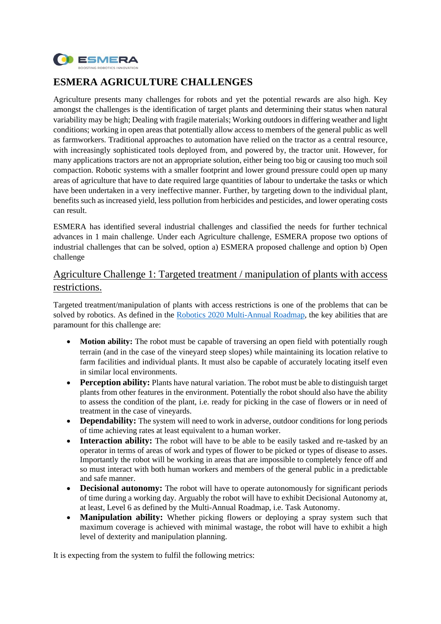

# **ESMERA AGRICULTURE CHALLENGES**

Agriculture presents many challenges for robots and yet the potential rewards are also high. Key amongst the challenges is the identification of target plants and determining their status when natural variability may be high; Dealing with fragile materials; Working outdoors in differing weather and light conditions; working in open areas that potentially allow access to members of the general public as well as farmworkers. Traditional approaches to automation have relied on the tractor as a central resource, with increasingly sophisticated tools deployed from, and powered by, the tractor unit. However, for many applications tractors are not an appropriate solution, either being too big or causing too much soil compaction. Robotic systems with a smaller footprint and lower ground pressure could open up many areas of agriculture that have to date required large quantities of labour to undertake the tasks or which have been undertaken in a very ineffective manner. Further, by targeting down to the individual plant, benefits such as increased yield, less pollution from herbicides and pesticides, and lower operating costs can result.

ESMERA has identified several industrial challenges and classified the needs for further technical advances in 1 main challenge. Under each Agriculture challenge, ESMERA propose two options of industrial challenges that can be solved, option a) ESMERA proposed challenge and option b) Open challenge

## Agriculture Challenge 1: Targeted treatment / manipulation of plants with access restrictions.

Targeted treatment/manipulation of plants with access restrictions is one of the problems that can be solved by robotics. As defined in the [Robotics 2020 Multi-Annual Roadmap,](https://www.eu-robotics.net/cms/upload/topic_groups/H2020_Robotics_Multi-Annual_Roadmap_ICT-2017B.pdf) the key abilities that are paramount for this challenge are:

- **Motion ability:** The robot must be capable of traversing an open field with potentially rough terrain (and in the case of the vineyard steep slopes) while maintaining its location relative to farm facilities and individual plants. It must also be capable of accurately locating itself even in similar local environments.
- **Perception ability:** Plants have natural variation. The robot must be able to distinguish target plants from other features in the environment. Potentially the robot should also have the ability to assess the condition of the plant, i.e. ready for picking in the case of flowers or in need of treatment in the case of vineyards.
- **Dependability:** The system will need to work in adverse, outdoor conditions for long periods of time achieving rates at least equivalent to a human worker.
- **Interaction ability:** The robot will have to be able to be easily tasked and re-tasked by an operator in terms of areas of work and types of flower to be picked or types of disease to asses. Importantly the robot will be working in areas that are impossible to completely fence off and so must interact with both human workers and members of the general public in a predictable and safe manner.
- **Decisional autonomy:** The robot will have to operate autonomously for significant periods of time during a working day. Arguably the robot will have to exhibit Decisional Autonomy at, at least, Level 6 as defined by the Multi-Annual Roadmap, i.e. Task Autonomy.
- **Manipulation ability:** Whether picking flowers or deploying a spray system such that maximum coverage is achieved with minimal wastage, the robot will have to exhibit a high level of dexterity and manipulation planning.

It is expecting from the system to fulfil the following metrics: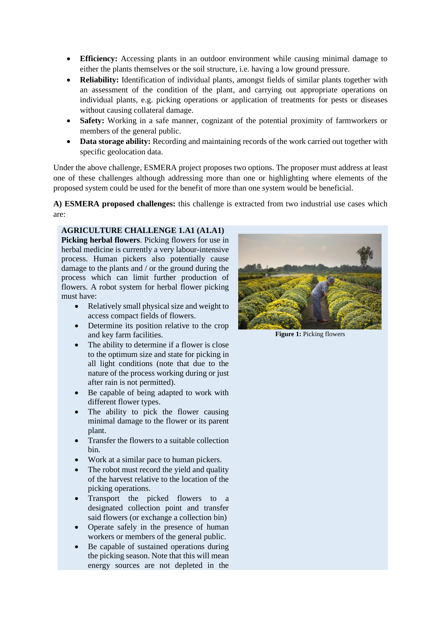- **Efficiency:** Accessing plants in an outdoor environment while causing minimal damage to either the plants themselves or the soil structure, i.e. having a low ground pressure.
- **Reliability:** Identification of individual plants, amongst fields of similar plants together with an assessment of the condition of the plant, and carrying out appropriate operations on individual plants, e.g. picking operations or application of treatments for pests or diseases without causing collateral damage.
- **Safety:** Working in a safe manner, cognizant of the potential proximity of farmworkers or members of the general public.
- **Data storage ability:** Recording and maintaining records of the work carried out together with specific geolocation data.

Under the above challenge, ESMERA project proposes two options. The proposer must address at least one of these challenges although addressing more than one or highlighting where elements of the proposed system could be used for the benefit of more than one system would be beneficial.

**A) ESMERA proposed challenges:** this challenge is extracted from two industrial use cases which are:

#### **AGRICULTURE CHALLENGE 1.A1 (A1.A1)**

**Picking herbal flowers**. Picking flowers for use in herbal medicine is currently a very labour-intensive process. Human pickers also potentially cause damage to the plants and / or the ground during the process which can limit further production of flowers. A robot system for herbal flower picking must have:

- Relatively small physical size and weight to access compact fields of flowers.
- Determine its position relative to the crop and key farm facilities.
- The ability to determine if a flower is close to the optimum size and state for picking in all light conditions (note that due to the nature of the process working during or just after rain is not permitted).
- Be capable of being adapted to work with different flower types.
- The ability to pick the flower causing minimal damage to the flower or its parent plant.
- Transfer the flowers to a suitable collection bin.
- Work at a similar pace to human pickers.
- The robot must record the yield and quality of the harvest relative to the location of the picking operations.
- Transport the picked flowers to a designated collection point and transfer said flowers (or exchange a collection bin)
- Operate safely in the presence of human workers or members of the general public.
- Be capable of sustained operations during the picking season. Note that this will mean energy sources are not depleted in the



**Figure 1:** Picking flowers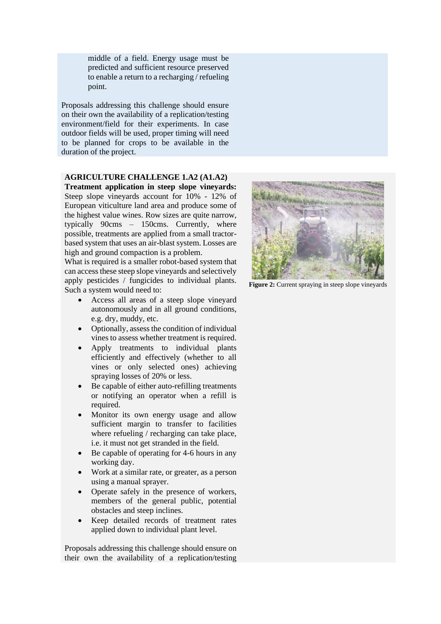middle of a field. Energy usage must be predicted and sufficient resource preserved to enable a return to a recharging / refueling point.

Proposals addressing this challenge should ensure on their own the availability of a replication/testing environment/field for their experiments. In case outdoor fields will be used, proper timing will need to be planned for crops to be available in the duration of the project.

#### **AGRICULTURE CHALLENGE 1.A2 (A1.A2)**

**Treatment application in steep slope vineyards:** Steep slope vineyards account for 10% - 12% of European viticulture land area and produce some of the highest value wines. Row sizes are quite narrow, typically 90cms – 150cms. Currently, where possible, treatments are applied from a small tractorbased system that uses an air-blast system. Losses are high and ground compaction is a problem.

What is required is a smaller robot-based system that can access these steep slope vineyards and selectively apply pesticides / fungicides to individual plants. Such a system would need to:

- Access all areas of a steep slope vineyard autonomously and in all ground conditions, e.g. dry, muddy, etc.
- Optionally, assess the condition of individual vines to assess whether treatment is required.
- Apply treatments to individual plants efficiently and effectively (whether to all vines or only selected ones) achieving spraying losses of 20% or less.
- Be capable of either auto-refilling treatments or notifying an operator when a refill is required.
- Monitor its own energy usage and allow sufficient margin to transfer to facilities where refueling / recharging can take place, i.e. it must not get stranded in the field.
- Be capable of operating for 4-6 hours in any working day.
- Work at a similar rate, or greater, as a person using a manual sprayer.
- Operate safely in the presence of workers, members of the general public, potential obstacles and steep inclines.
- Keep detailed records of treatment rates applied down to individual plant level.

Proposals addressing this challenge should ensure on their own the availability of a replication/testing



**Figure 2:** Current spraying in steep slope vineyards